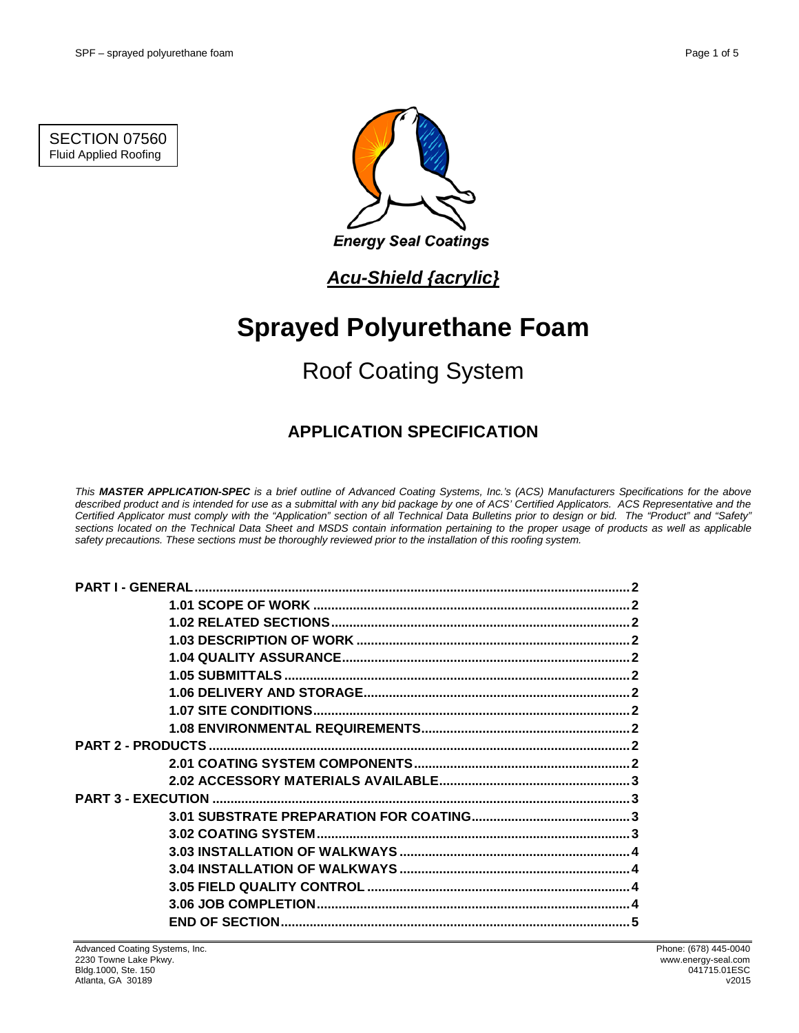SECTION 07560 Fluid Applied Roofing



## *Acu-Shield {acrylic}*

# **Sprayed Polyurethane Foam**

# Roof Coating System

## **APPLICATION SPECIFICATION**

*This MASTER APPLICATION-SPEC is a brief outline of Advanced Coating Systems, Inc.'s (ACS) Manufacturers Specifications for the above described product and is intended for use as a submittal with any bid package by one of ACS' Certified Applicators. ACS Representative and the Certified Applicator must comply with the "Application" section of all Technical Data Bulletins prior to design or bid. The "Product" and "Safety" sections located on the Technical Data Sheet and MSDS contain information pertaining to the proper usage of products as well as applicable safety precautions. These sections must be thoroughly reviewed prior to the installation of this roofing system.*

| <b>PART I - GENERAL.</b> |  |  |
|--------------------------|--|--|
|                          |  |  |
|                          |  |  |
|                          |  |  |
|                          |  |  |
|                          |  |  |
|                          |  |  |
|                          |  |  |
|                          |  |  |
|                          |  |  |
|                          |  |  |
|                          |  |  |
|                          |  |  |
|                          |  |  |
|                          |  |  |
|                          |  |  |
|                          |  |  |
|                          |  |  |
|                          |  |  |
|                          |  |  |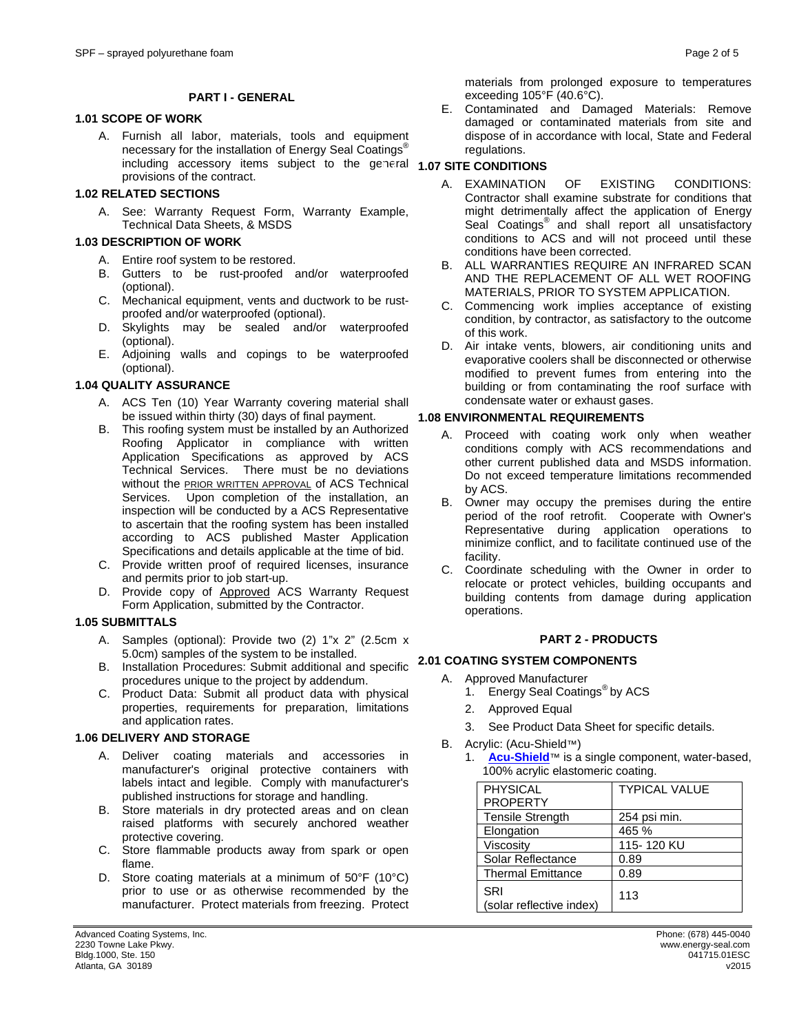#### **PART I - GENERAL**

### **1.1 1.01 SCOPE OF WORK**

A. Furnish all labor, materials, tools and equipment necessary for the installation of Energy Seal Coatings<sup>®</sup> including accessory items subject to the general **1.07 SITE CONDITIONS** provisions of the contract.

#### **1.2 1.02 RELATED SECTIONS**

A. See: Warranty Request Form, Warranty Example, Technical Data Sheets, & MSDS

### **1.3 1.03 DESCRIPTION OF WORK**

- A. Entire roof system to be restored.
- B. Gutters to be rust-proofed and/or waterproofed (optional).
- C. Mechanical equipment, vents and ductwork to be rustproofed and/or waterproofed (optional).
- D. Skylights may be sealed and/or waterproofed (optional).
- E. Adjoining walls and copings to be waterproofed (optional).

#### **1.4 1.04 QUALITY ASSURANCE**

- A. ACS Ten (10) Year Warranty covering material shall be issued within thirty (30) days of final payment.
- B. This roofing system must be installed by an Authorized Roofing Applicator in compliance with written Application Specifications as approved by ACS Technical Services. There must be no deviations without the **PRIOR WRITTEN APPROVAL** of ACS Technical Services. Upon completion of the installation, an inspection will be conducted by a ACS Representative to ascertain that the roofing system has been installed according to ACS published Master Application Specifications and details applicable at the time of bid.
- C. Provide written proof of required licenses, insurance and permits prior to job start-up.
- D. Provide copy of Approved ACS Warranty Request Form Application, submitted by the Contractor.

#### **1.5 1.05 SUBMITTALS**

- A. Samples (optional): Provide two (2) 1"x 2" (2.5cm x 5.0cm) samples of the system to be installed. 5.0cm) samples of the system to be installed.
- B. Installation Procedures: Submit additional and specific **2.1 2.01 COATING SYSTEM COMPONENTS** procedures unique to the project by addendum.
- C. Product Data: Submit all product data with physical properties, requirements for preparation, limitations and application rates.

#### **1.6 1.06 DELIVERY AND STORAGE**

- A. Deliver coating materials and accessories in manufacturer's original protective containers with labels intact and legible. Comply with manufacturer's published instructions for storage and handling.
- B. Store materials in dry protected areas and on clean raised platforms with securely anchored weather protective covering.
- C. Store flammable products away from spark or open flame.
- D. Store coating materials at a minimum of 50°F (10°C) prior to use or as otherwise recommended by the manufacturer. Protect materials from freezing. Protect

materials from prolonged exposure to temperatures exceeding 105°F (40.6°C).

E. Contaminated and Damaged Materials: Remove damaged or contaminated materials from site and dispose of in accordance with local, State and Federal regulations.

- A. EXAMINATION OF EXISTING CONDITIONS: Contractor shall examine substrate for conditions that might detrimentally affect the application of Energy Seal Coatings<sup>®</sup> and shall report all unsatisfactory conditions to ACS and will not proceed until these conditions have been corrected.
- B. ALL WARRANTIES REQUIRE AN INFRARED SCAN AND THE REPLACEMENT OF ALL WET ROOFING MATERIALS, PRIOR TO SYSTEM APPLICATION.
- C. Commencing work implies acceptance of existing condition, by contractor, as satisfactory to the outcome of this work.
- D. Air intake vents, blowers, air conditioning units and evaporative coolers shall be disconnected or otherwise modified to prevent fumes from entering into the building or from contaminating the roof surface with condensate water or exhaust gases.

#### **1.8 1.08 ENVIRONMENTAL REQUIREMENTS**

- A. Proceed with coating work only when weather conditions comply with ACS recommendations and other current published data and MSDS information. Do not exceed temperature limitations recommended by ACS.
- B. Owner may occupy the premises during the entire period of the roof retrofit. Cooperate with Owner's Representative during application operations to minimize conflict, and to facilitate continued use of the facility.
- C. Coordinate scheduling with the Owner in order to relocate or protect vehicles, building occupants and building contents from damage during application operations.

#### **2 PART 2 - PRODUCTS**

- A. Approved Manufacturer
	- 1. Energy Seal Coatings<sup>®</sup> by ACS
	- 2. Approved Equal
	- 3. See Product Data Sheet for specific details.
- B. Acrylic: (Acu-Shield™)
	- 1. **[Acu-Shield](http://www.energy-seal.com/UserDyn/ACS/pdfs/acu-shield.pdf)**™ is a single component, water-based, 100% acrylic elastomeric coating.

| <b>PHYSICAL</b>                 | <b>TYPICAL VALUE</b> |
|---------------------------------|----------------------|
| <b>PROPERTY</b>                 |                      |
| <b>Tensile Strength</b>         | 254 psi min.         |
| Elongation                      | 465 %                |
| Viscosity                       | 115-120 KU           |
| Solar Reflectance               | 0.89                 |
| <b>Thermal Emittance</b>        | 0.89                 |
| SRI<br>(solar reflective index) | 113                  |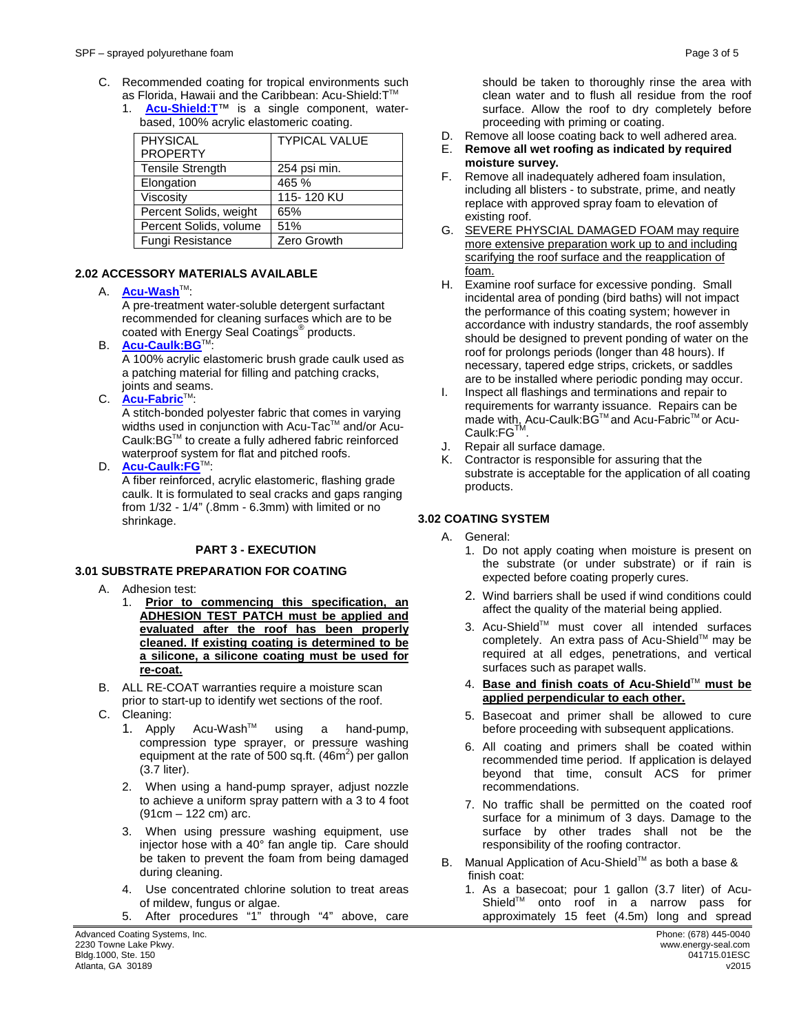- C. Recommended coating for tropical environments such as Florida, Hawaii and the Caribbean: Acu-Shield:T™
	- 1. **[Acu-Shield:T](http://www.energy-seal.com/UserDyn/ACS/pdfs/acu-shield-t.pdf)**™ is a single component, waterbased, 100% acrylic elastomeric coating.

| <b>PHYSICAL</b>         | <b>TYPICAL VALUE</b> |
|-------------------------|----------------------|
| <b>PROPERTY</b>         |                      |
| <b>Tensile Strength</b> | 254 psi min.         |
| Elongation              | 465 %                |
| Viscosity               | 115-120 KU           |
| Percent Solids, weight  | 65%                  |
| Percent Solids, volume  | 51%                  |
| Fungi Resistance        | Zero Growth          |

### **2.2 2.02 ACCESSORY MATERIALS AVAILABLE**

#### A. **[Acu-Wash](http://www.energy-seal.com/UserDyn/ACS/pdfs/acu-wash.pdf)™:**

A pre-treatment water-soluble detergent surfactant recommended for cleaning surfaces which are to be coated with Energy Seal Coatings® products.

**B. [Acu-Caulk:BG](http://www.energy-seal.com/UserDyn/ACS/pdfs/acu-caulk_bg.pdf)™** 

A 100% acrylic elastomeric brush grade caulk used as a patching material for filling and patching cracks, joints and seams.

C. **[Acu-Fabric](http://www.energy-seal.com/UserDyn/ACS/pdfs/acu-fabric-sb.pdf)**™:

A stitch-bonded polyester fabric that comes in varying widths used in conjunction with Acu-Tac™ and/or Acu-Caulk:BGTM to create a fully adhered fabric reinforced waterproof system for flat and pitched roofs.

D. **[Acu-Caulk:FG](http://www.energy-seal.com/UserDyn/ACS/pdfs/acu-caulk_fg.pdf)™:** 

A fiber reinforced, acrylic elastomeric, flashing grade caulk. It is formulated to seal cracks and gaps ranging from 1/32 - 1/4" (.8mm - 6.3mm) with limited or no shrinkage.

#### **3 PART 3 - EXECUTION**

#### **3.1 3.01 SUBSTRATE PREPARATION FOR COATING**

- A. Adhesion test:
	- 1. **Prior to commencing this specification, an ADHESION TEST PATCH must be applied and evaluated after the roof has been properly cleaned. If existing coating is determined to be a silicone, a silicone coating must be used for re-coat.**
- B. ALL RE-COAT warranties require a moisture scan prior to start-up to identify wet sections of the roof.
- C. Cleaning:
	- 1. Apply Acu-Wash<sup>™</sup> using a hand-pump, compression type sprayer, or pressure washing equipment at the rate of 500 sq.ft.  $(46m^2)$  per gallon (3.7 liter).
	- 2. When using a hand-pump sprayer, adjust nozzle to achieve a uniform spray pattern with a 3 to 4 foot (91cm – 122 cm) arc.
	- 3. When using pressure washing equipment, use injector hose with a 40° fan angle tip. Care should be taken to prevent the foam from being damaged during cleaning.
	- 4. Use concentrated chlorine solution to treat areas of mildew, fungus or algae.
	- 5. After procedures "1" through "4" above, care

Advanced Coating Systems, Inc. **Phone: (678) 445-0040** Phone: (678) 445-0040<br>
2230 Towne Lake Pkwy. 2230 Towne Lake Pkwy. www.energy-seal.com Bldg.1000, Ste. 150 041715.01ESC

should be taken to thoroughly rinse the area with clean water and to flush all residue from the roof surface. Allow the roof to dry completely before proceeding with priming or coating.

- D. Remove all loose coating back to well adhered area.<br>E. Remove all wet roofing as indicated by required
- E. **Remove all wet roofing as indicated by required moisture survey.**
- F. Remove all inadequately adhered foam insulation, including all blisters - to substrate, prime, and neatly replace with approved spray foam to elevation of existing roof.
- G. SEVERE PHYSCIAL DAMAGED FOAM may require more extensive preparation work up to and including scarifying the roof surface and the reapplication of foam.
- H. Examine roof surface for excessive ponding. Small incidental area of ponding (bird baths) will not impact the performance of this coating system; however in accordance with industry standards, the roof assembly should be designed to prevent ponding of water on the roof for prolongs periods (longer than 48 hours). If necessary, tapered edge strips, crickets, or saddles are to be installed where periodic ponding may occur.
- I. Inspect all flashings and terminations and repair to requirements for warranty issuance. Repairs can be made with, Acu-Caulk:BG™ and Acu-Fabric™ or Acu-Caulk:FGTM.
- J. Repair all surface damage.<br>K. Contractor is responsible fo
- Contractor is responsible for assuring that the substrate is acceptable for the application of all coating products.

### **3.2 3.02 COATING SYSTEM**

- A. General:
	- 1. Do not apply coating when moisture is present on the substrate (or under substrate) or if rain is expected before coating properly cures.
	- 2. Wind barriers shall be used if wind conditions could affect the quality of the material being applied.
	- 3. Acu-Shield™ must cover all intended surfaces completely. An extra pass of Acu-Shield™ may be required at all edges, penetrations, and vertical surfaces such as parapet walls.
	- 4. **Base and finish coats of Acu-Shield**TM **must be applied perpendicular to each other.**
	- 5. Basecoat and primer shall be allowed to cure before proceeding with subsequent applications.
	- 6. All coating and primers shall be coated within recommended time period. If application is delayed beyond that time, consult ACS for primer recommendations.
	- 7. No traffic shall be permitted on the coated roof surface for a minimum of 3 days. Damage to the surface by other trades shall not be the responsibility of the roofing contractor.
- B. Manual Application of Acu-Shield™ as both a base & finish coat:
	- 1. As a basecoat; pour 1 gallon (3.7 liter) of Acu-Shield™ onto roof in a narrow pass for approximately 15 feet (4.5m) long and spread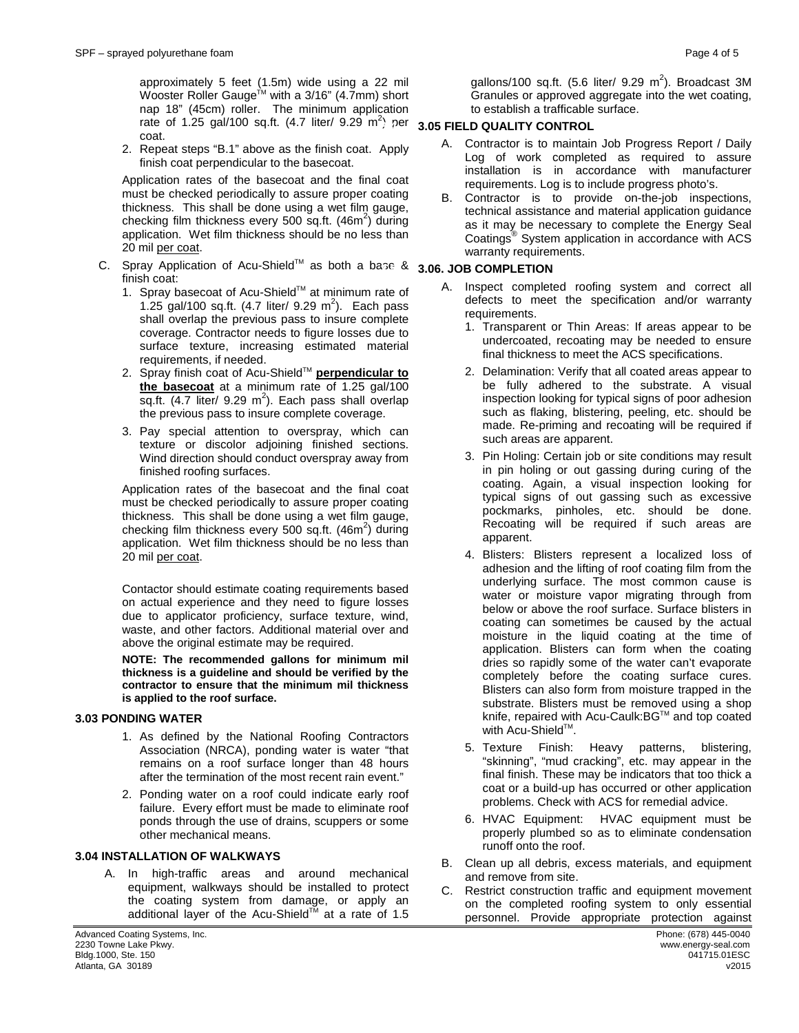approximately 5 feet (1.5m) wide using a 22 mil Wooster Roller Gauge<sup>™</sup> with a 3/16" (4.7mm) short nap 18" (45cm) roller. The minimum application rate of 1.25 gal/100 sq.ft. (4.7 liter/ 9.29 m<sup>2</sup>) per **3.05 FIELD QUALITY CONTROL** coat.

2. Repeat steps "B.1" above as the finish coat. Apply finish coat perpendicular to the basecoat.

Application rates of the basecoat and the final coat must be checked periodically to assure proper coating thickness. This shall be done using a wet film gauge, checking film thickness every 500 sq.ft.  $(46m^2)$  during application. Wet film thickness should be no less than 20 mil per coat.

- C. Spray Application of Acu-Shield™ as both a base & 3.06. JOB COMPLETION finish coat:
	- 1. Spray basecoat of Acu-Shield™ at minimum rate of 1.25 gal/100 sq.ft.  $(4.7 \text{ liter/ } 9.29 \text{ m}^2)$ . Each pass shall overlap the previous pass to insure complete coverage. Contractor needs to figure losses due to surface texture, increasing estimated material requirements, if needed.
	- 2. Spray finish coat of Acu-Shield<sup>™</sup> perpendicular to **the basecoat** at a minimum rate of 1.25 gal/100 sq.ft.  $(4.7$  liter/ 9.29 m<sup>2</sup>). Each pass shall overlap the previous pass to insure complete coverage.
	- 3. Pay special attention to overspray, which can texture or discolor adjoining finished sections. Wind direction should conduct overspray away from finished roofing surfaces.

Application rates of the basecoat and the final coat must be checked periodically to assure proper coating thickness. This shall be done using a wet film gauge, checking film thickness every 500 sq.ft. (46m<sup>2</sup>) during application. Wet film thickness should be no less than 20 mil per coat.

Contactor should estimate coating requirements based on actual experience and they need to figure losses due to applicator proficiency, surface texture, wind, waste, and other factors. Additional material over and above the original estimate may be required.

**NOTE: The recommended gallons for minimum mil thickness is a guideline and should be verified by the contractor to ensure that the minimum mil thickness is applied to the roof surface.** 

#### **3.3 3.03 PONDING WATER**

- 1. As defined by the National Roofing Contractors Association (NRCA), ponding water is water "that remains on a roof surface longer than 48 hours after the termination of the most recent rain event."
- 2. Ponding water on a roof could indicate early roof failure. Every effort must be made to eliminate roof ponds through the use of drains, scuppers or some other mechanical means.

### **3.04 INSTALLATION OF WALKWAYS**

A. In high-traffic areas and around mechanical equipment, walkways should be installed to protect the coating system from damage, or apply an additional layer of the Acu-Shield™ at a rate of 1.5

gallons/100 sq.ft.  $(5.6$  liter/  $9.29$  m<sup>2</sup>). Broadcast 3M Granules or approved aggregate into the wet coating, to establish a trafficable surface.

- A. Contractor is to maintain Job Progress Report / Daily Log of work completed as required to assure installation is in accordance with manufacturer requirements. Log is to include progress photo's.
- B. Contractor is to provide on-the-job inspections, technical assistance and material application guidance as it may be necessary to complete the Energy Seal Coatings® System application in accordance with ACS warranty requirements.

- A. Inspect completed roofing system and correct all defects to meet the specification and/or warranty requirements.
	- 1. Transparent or Thin Areas: If areas appear to be undercoated, recoating may be needed to ensure final thickness to meet the ACS specifications.
	- 2. Delamination: Verify that all coated areas appear to be fully adhered to the substrate. A visual inspection looking for typical signs of poor adhesion such as flaking, blistering, peeling, etc. should be made. Re-priming and recoating will be required if such areas are apparent.
	- 3. Pin Holing: Certain job or site conditions may result in pin holing or out gassing during curing of the coating. Again, a visual inspection looking for typical signs of out gassing such as excessive pockmarks, pinholes, etc. should be done. Recoating will be required if such areas are apparent.
	- 4. Blisters: Blisters represent a localized loss of adhesion and the lifting of roof coating film from the underlying surface. The most common cause is water or moisture vapor migrating through from below or above the roof surface. Surface blisters in coating can sometimes be caused by the actual moisture in the liquid coating at the time of application. Blisters can form when the coating dries so rapidly some of the water can't evaporate completely before the coating surface cures. Blisters can also form from moisture trapped in the substrate. Blisters must be removed using a shop knife, repaired with Acu-Caulk:BG™ and top coated with Acu-Shield™.
	- 5. Texture Finish: Heavy patterns, blistering, "skinning", "mud cracking", etc. may appear in the final finish. These may be indicators that too thick a coat or a build-up has occurred or other application problems. Check with ACS for remedial advice.
	- 6. HVAC Equipment: HVAC equipment must be properly plumbed so as to eliminate condensation runoff onto the roof.
- B. Clean up all debris, excess materials, and equipment and remove from site.
- C. Restrict construction traffic and equipment movement on the completed roofing system to only essential personnel. Provide appropriate protection against